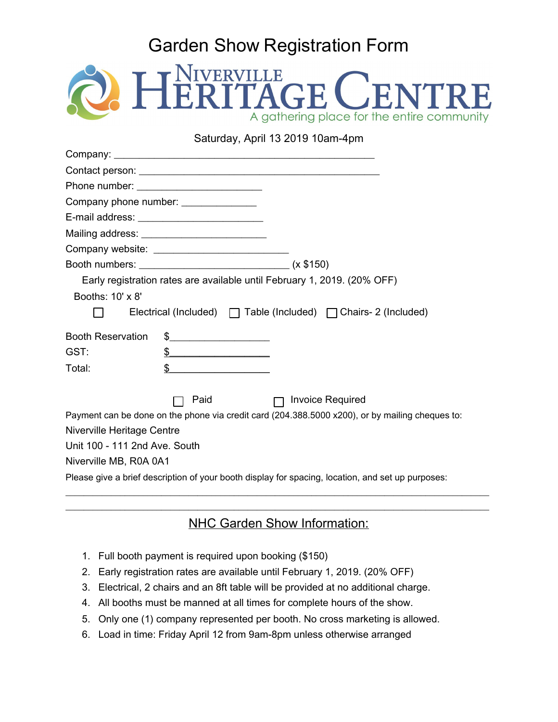## Garden Show Registration Form



## Saturday, April 13 2019 10am-4pm

|                                                                                                   | Company phone number: ______________                                                                                                                                                                                                                                                                                                                                |  |
|---------------------------------------------------------------------------------------------------|---------------------------------------------------------------------------------------------------------------------------------------------------------------------------------------------------------------------------------------------------------------------------------------------------------------------------------------------------------------------|--|
|                                                                                                   | E-mail address: ___________________________                                                                                                                                                                                                                                                                                                                         |  |
|                                                                                                   | Mailing address: ____________________________                                                                                                                                                                                                                                                                                                                       |  |
|                                                                                                   | Company website: ______________________________                                                                                                                                                                                                                                                                                                                     |  |
|                                                                                                   |                                                                                                                                                                                                                                                                                                                                                                     |  |
|                                                                                                   | Early registration rates are available until February 1, 2019. (20% OFF)                                                                                                                                                                                                                                                                                            |  |
| Booths: 10' x 8'                                                                                  |                                                                                                                                                                                                                                                                                                                                                                     |  |
|                                                                                                   | Electrical (Included) $\Box$ Table (Included) $\Box$ Chairs- 2 (Included)                                                                                                                                                                                                                                                                                           |  |
| <b>Booth Reservation</b>                                                                          | $\begin{picture}(20,10) \put(0,0){\vector(1,0){100}} \put(15,0){\vector(1,0){100}} \put(15,0){\vector(1,0){100}} \put(15,0){\vector(1,0){100}} \put(15,0){\vector(1,0){100}} \put(15,0){\vector(1,0){100}} \put(15,0){\vector(1,0){100}} \put(15,0){\vector(1,0){100}} \put(15,0){\vector(1,0){100}} \put(15,0){\vector(1,0){100}} \put(15,0){\vector(1,0){100}} \$ |  |
| GST:                                                                                              | $\frac{1}{2}$                                                                                                                                                                                                                                                                                                                                                       |  |
| Total:                                                                                            | $\mathbb{S}$                                                                                                                                                                                                                                                                                                                                                        |  |
|                                                                                                   | <b>Invoice Required</b><br>Paid<br>П                                                                                                                                                                                                                                                                                                                                |  |
|                                                                                                   | Payment can be done on the phone via credit card (204.388.5000 x200), or by mailing cheques to:                                                                                                                                                                                                                                                                     |  |
| Niverville Heritage Centre                                                                        |                                                                                                                                                                                                                                                                                                                                                                     |  |
| Unit 100 - 111 2nd Ave. South                                                                     |                                                                                                                                                                                                                                                                                                                                                                     |  |
| Niverville MB, R0A 0A1                                                                            |                                                                                                                                                                                                                                                                                                                                                                     |  |
| Please give a brief description of your booth display for spacing, location, and set up purposes: |                                                                                                                                                                                                                                                                                                                                                                     |  |

## \_\_\_\_\_\_\_\_\_\_\_\_\_\_\_\_\_\_\_\_\_\_\_\_\_\_\_\_\_\_\_\_\_\_\_\_\_\_\_\_\_\_\_\_\_\_\_\_\_\_\_\_\_\_\_\_\_\_\_\_\_\_\_\_\_\_\_\_\_\_\_\_\_\_\_\_\_\_\_\_\_\_\_\_\_\_\_\_\_\_\_\_\_ NHC Garden Show Information:

- 1. Full booth payment is required upon booking (\$150)
- 2. Early registration rates are available until February 1, 2019. (20% OFF)
- 3. Electrical, 2 chairs and an 8ft table will be provided at no additional charge.
- 4. All booths must be manned at all times for complete hours of the show.
- 5. Only one (1) company represented per booth. No cross marketing is allowed.
- 6. Load in time: Friday April 12 from 9am-8pm unless otherwise arranged